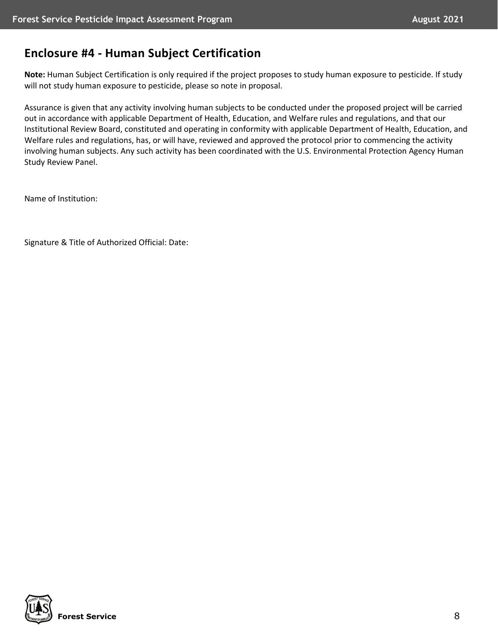# **Enclosure #4 - Human Subject Certification**

**Note:** Human Subject Certification is only required if the project proposes to study human exposure to pesticide. If study will not study human exposure to pesticide, please so note in proposal.

Assurance is given that any activity involving human subjects to be conducted under the proposed project will be carried out in accordance with applicable Department of Health, Education, and Welfare rules and regulations, and that our Institutional Review Board, constituted and operating in conformity with applicable Department of Health, Education, and Welfare rules and regulations, has, or will have, reviewed and approved the protocol prior to commencing the activity involving human subjects. Any such activity has been coordinated with the U.S. Environmental Protection Agency Human Study Review Panel.

Name of Institution:

Signature & Title of Authorized Official: Date: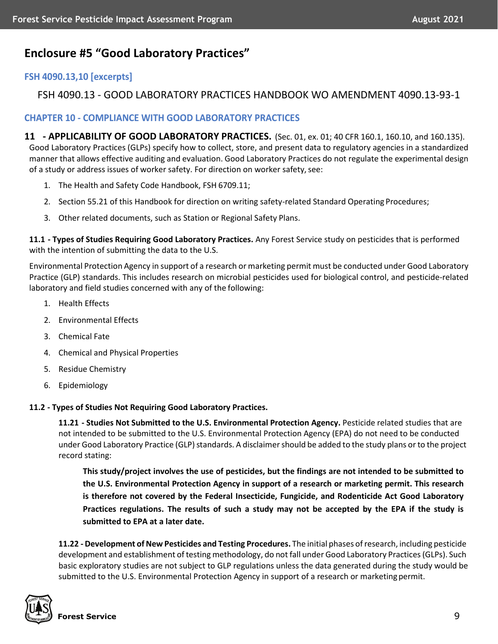# **Enclosure #5 "Good Laboratory Practices"**

## **FSH 4090.13,10 [excerpts]**

## FSH 4090.13 - GOOD LABORATORY PRACTICES HANDBOOK WO AMENDMENT 4090.13-93-1

### **CHAPTER 10 - COMPLIANCE WITH GOOD LABORATORY PRACTICES**

**11 - APPLICABILITY OF GOOD LABORATORY PRACTICES.** (Sec. 01, ex. 01; 40 CFR 160.1, 160.10, and 160.135). Good Laboratory Practices (GLPs) specify how to collect, store, and present data to regulatory agencies in a standardized manner that allows effective auditing and evaluation. Good Laboratory Practices do not regulate the experimental design of a study or address issues of worker safety. For direction on worker safety, see:

- 1. The Health and Safety Code Handbook, FSH 6709.11;
- 2. Section 55.21 of this Handbook for direction on writing safety-related Standard Operating Procedures;
- 3. Other related documents, such as Station or Regional Safety Plans.

**11.1 - Types of Studies Requiring Good Laboratory Practices.** Any Forest Service study on pesticides that is performed with the intention of submitting the data to the U.S.

Environmental Protection Agency in support of a research or marketing permit must be conducted under Good Laboratory Practice (GLP) standards. This includes research on microbial pesticides used for biological control, and pesticide-related laboratory and field studies concerned with any of the following:

- 1. Health Effects
- 2. Environmental Effects
- 3. Chemical Fate
- 4. Chemical and Physical Properties
- 5. Residue Chemistry
- 6. Epidemiology

### **11.2 - Types of Studies Not Requiring Good Laboratory Practices.**

**11.21 - Studies Not Submitted to the U.S. Environmental Protection Agency.** Pesticide related studies that are not intended to be submitted to the U.S. Environmental Protection Agency (EPA) do not need to be conducted under Good Laboratory Practice (GLP) standards. A disclaimer should be added to the study plans or to the project record stating:

**This study/project involves the use of pesticides, but the findings are not intended to be submitted to the U.S. Environmental Protection Agency in support of a research or marketing permit. This research is therefore not covered by the Federal Insecticide, Fungicide, and Rodenticide Act Good Laboratory Practices regulations. The results of such a study may not be accepted by the EPA if the study is submitted to EPA at a later date.**

**11.22 - Development ofNew Pesticides and Testing Procedures.** The initial phases ofresearch, including pesticide development and establishment of testing methodology, do not fall under Good Laboratory Practices (GLPs). Such basic exploratory studies are not subject to GLP regulations unless the data generated during the study would be submitted to the U.S. Environmental Protection Agency in support of a research or marketing permit.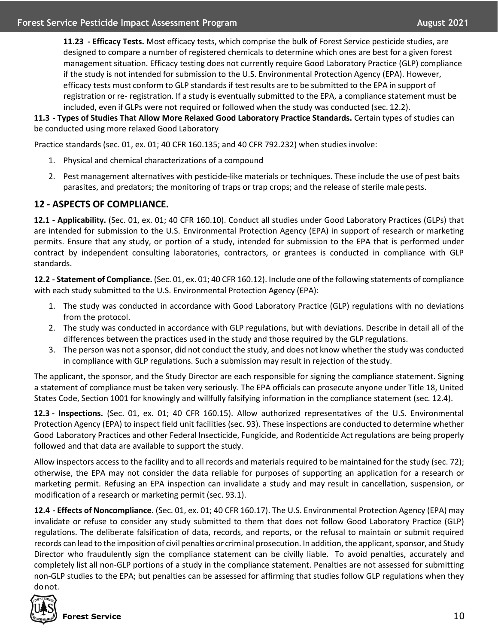**11.23 - Efficacy Tests.** Most efficacy tests, which comprise the bulk of Forest Service pesticide studies, are designed to compare a number of registered chemicals to determine which ones are best for a given forest management situation. Efficacy testing does not currently require Good Laboratory Practice (GLP) compliance if the study is not intended for submission to the U.S. Environmental Protection Agency (EPA). However, efficacy tests must conform to GLP standards if test results are to be submitted to the EPA in support of registration or re- registration. If a study is eventually submitted to the EPA, a compliance statement must be included, even if GLPs were not required or followed when the study was conducted (sec. 12.2).

**11.3 - Types of Studies That Allow More Relaxed Good Laboratory Practice Standards.** Certain types of studies can be conducted using more relaxed Good Laboratory

Practice standards (sec. 01, ex. 01; 40 CFR 160.135; and 40 CFR 792.232) when studies involve:

- 1. Physical and chemical characterizations of a compound
- 2. Pest management alternatives with pesticide-like materials or techniques. These include the use of pest baits parasites, and predators; the monitoring of traps or trap crops; and the release of sterile male pests.

### **12 - ASPECTS OF COMPLIANCE.**

**12.1 - Applicability.** (Sec. 01, ex. 01; 40 CFR 160.10). Conduct all studies under Good Laboratory Practices (GLPs) that are intended for submission to the U.S. Environmental Protection Agency (EPA) in support of research or marketing permits. Ensure that any study, or portion of a study, intended for submission to the EPA that is performed under contract by independent consulting laboratories, contractors, or grantees is conducted in compliance with GLP standards.

**12.2 - Statement of Compliance.** (Sec. 01, ex. 01; 40 CFR 160.12). Include one of the following statements of compliance with each study submitted to the U.S. Environmental Protection Agency (EPA):

- 1. The study was conducted in accordance with Good Laboratory Practice (GLP) regulations with no deviations from the protocol.
- 2. The study was conducted in accordance with GLP regulations, but with deviations. Describe in detail all of the differences between the practices used in the study and those required by the GLP regulations.
- 3. The person was not a sponsor, did not conduct the study, and does not know whether the study was conducted in compliance with GLP regulations. Such a submission may result in rejection of the study.

The applicant, the sponsor, and the Study Director are each responsible for signing the compliance statement. Signing a statement of compliance must be taken very seriously. The EPA officials can prosecute anyone under Title 18, United States Code, Section 1001 for knowingly and willfully falsifying information in the compliance statement (sec. 12.4).

**12.3 - Inspections.** (Sec. 01, ex. 01; 40 CFR 160.15). Allow authorized representatives of the U.S. Environmental Protection Agency (EPA) to inspect field unit facilities (sec. 93). These inspections are conducted to determine whether Good Laboratory Practices and other Federal Insecticide, Fungicide, and Rodenticide Act regulations are being properly followed and that data are available to support the study.

Allow inspectors access to the facility and to all records and materials required to be maintained for the study (sec. 72); otherwise, the EPA may not consider the data reliable for purposes of supporting an application for a research or marketing permit. Refusing an EPA inspection can invalidate a study and may result in cancellation, suspension, or modification of a research or marketing permit (sec. 93.1).

**12.4 - Effects of Noncompliance.** (Sec. 01, ex. 01; 40 CFR 160.17). The U.S. Environmental Protection Agency (EPA) may invalidate or refuse to consider any study submitted to them that does not follow Good Laboratory Practice (GLP) regulations. The deliberate falsification of data, records, and reports, or the refusal to maintain or submit required records can lead to the imposition of civil penalties or criminal prosecution. In addition, the applicant, sponsor, and Study Director who fraudulently sign the compliance statement can be civilly liable. To avoid penalties, accurately and completely list all non-GLP portions of a study in the compliance statement. Penalties are not assessed for submitting non-GLP studies to the EPA; but penalties can be assessed for affirming that studies follow GLP regulations when they donot.